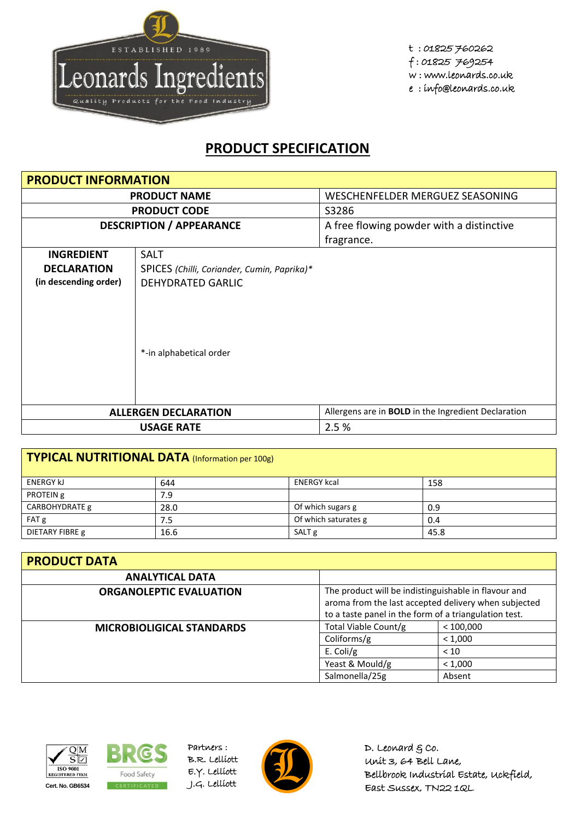

t : 01825 760262 f : 01825 769254 w : www.leonards.co.uk e : info@leonards.co.uk

## **PRODUCT SPECIFICATION**

| <b>PRODUCT INFORMATION</b>      |                                             |                                                            |
|---------------------------------|---------------------------------------------|------------------------------------------------------------|
| <b>PRODUCT NAME</b>             |                                             | WESCHENFELDER MERGUEZ SEASONING                            |
|                                 | <b>PRODUCT CODE</b>                         | S3286                                                      |
| <b>DESCRIPTION / APPEARANCE</b> |                                             | A free flowing powder with a distinctive                   |
|                                 |                                             | fragrance.                                                 |
| <b>INGREDIENT</b>               | <b>SALT</b>                                 |                                                            |
| <b>DECLARATION</b>              | SPICES (Chilli, Coriander, Cumin, Paprika)* |                                                            |
| (in descending order)           | <b>DEHYDRATED GARLIC</b>                    |                                                            |
| *-in alphabetical order         |                                             |                                                            |
|                                 | <b>ALLERGEN DECLARATION</b>                 | Allergens are in <b>BOLD</b> in the Ingredient Declaration |
|                                 | <b>USAGE RATE</b>                           | 2.5 %                                                      |

| TYPICAL NUTRITIONAL DATA (Information per 100g) |      |                      |      |  |
|-------------------------------------------------|------|----------------------|------|--|
| <b>ENERGY kJ</b>                                | 644  | <b>ENERGY kcal</b>   | 158  |  |
| PROTEIN g                                       | 7.9  |                      |      |  |
| CARBOHYDRATE g                                  | 28.0 | Of which sugars g    | 0.9  |  |
| FAT g                                           | 7.5  | Of which saturates g | 0.4  |  |
| DIETARY FIBRE g                                 | 16.6 | SALT <sub>g</sub>    | 45.8 |  |

| <b>PRODUCT DATA</b>              |                                                                                                                                                                       |         |  |  |
|----------------------------------|-----------------------------------------------------------------------------------------------------------------------------------------------------------------------|---------|--|--|
| <b>ANALYTICAL DATA</b>           |                                                                                                                                                                       |         |  |  |
| <b>ORGANOLEPTIC EVALUATION</b>   | The product will be indistinguishable in flavour and<br>aroma from the last accepted delivery when subjected<br>to a taste panel in the form of a triangulation test. |         |  |  |
| <b>MICROBIOLIGICAL STANDARDS</b> | Total Viable Count/g<br>< 100,000                                                                                                                                     |         |  |  |
|                                  | Coliforms/g<br>< 1,000                                                                                                                                                |         |  |  |
|                                  | E. Coli/g                                                                                                                                                             | < 10    |  |  |
|                                  | Yeast & Mould/g                                                                                                                                                       | < 1,000 |  |  |
|                                  | Salmonella/25g                                                                                                                                                        | Absent  |  |  |





Partners : B.R. Lelliott E.Y. Lelliott



D. Leonard  $g$  co. Unit 3, 64 Bell Lane, Bellbrook Industrial Estate, Uckfield, East Sussex, TN22 1QL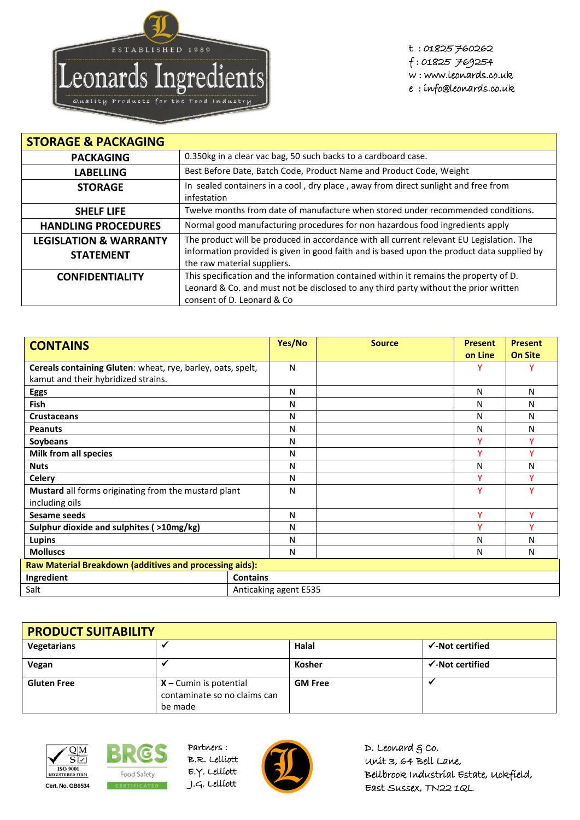

t : 01825 760262 f : 01825 769254 w : www.leonards.co.uk

e : info@leonards.co.uk

| <b>STORAGE &amp; PACKAGING</b>                        |                                                                                                                                                                                                                       |  |  |
|-------------------------------------------------------|-----------------------------------------------------------------------------------------------------------------------------------------------------------------------------------------------------------------------|--|--|
| <b>PACKAGING</b>                                      | 0.350kg in a clear vac bag, 50 such backs to a cardboard case.                                                                                                                                                        |  |  |
| <b>LABELLING</b>                                      | Best Before Date, Batch Code, Product Name and Product Code, Weight                                                                                                                                                   |  |  |
| <b>STORAGE</b>                                        | In sealed containers in a cool, dry place, away from direct sunlight and free from<br>infestation                                                                                                                     |  |  |
| <b>SHELF LIFE</b>                                     | Twelve months from date of manufacture when stored under recommended conditions.                                                                                                                                      |  |  |
| <b>HANDLING PROCEDURES</b>                            | Normal good manufacturing procedures for non hazardous food ingredients apply                                                                                                                                         |  |  |
| <b>LEGISLATION &amp; WARRANTY</b><br><b>STATEMENT</b> | The product will be produced in accordance with all current relevant EU Legislation. The<br>information provided is given in good faith and is based upon the product data supplied by<br>the raw material suppliers. |  |  |
| <b>CONFIDENTIALITY</b>                                | This specification and the information contained within it remains the property of D.<br>Leonard & Co. and must not be disclosed to any third party without the prior written<br>consent of D. Leonard & Co.          |  |  |

| <b>CONTAINS</b>                                             | Yes/No                | <b>Source</b> | <b>Present</b><br>on Line | <b>Present</b><br><b>On Site</b> |
|-------------------------------------------------------------|-----------------------|---------------|---------------------------|----------------------------------|
| Cereals containing Gluten: wheat, rye, barley, oats, spelt, | N                     |               |                           |                                  |
| kamut and their hybridized strains.                         |                       |               |                           |                                  |
| Eggs                                                        | N                     |               | N                         | N                                |
| <b>Fish</b>                                                 | N                     |               | N                         | N                                |
| <b>Crustaceans</b>                                          | N                     |               | Ν                         | N                                |
| <b>Peanuts</b>                                              | N                     |               | N                         | N                                |
| Soybeans                                                    | N                     |               | ٧                         | ٧                                |
| <b>Milk from all species</b>                                | N                     |               | v                         | ۷                                |
| <b>Nuts</b>                                                 | N                     |               | N                         | N                                |
| <b>Celery</b>                                               | N                     |               | ٧                         | Y                                |
| Mustard all forms originating from the mustard plant        | N                     |               | ٧                         | v                                |
| including oils                                              |                       |               |                           |                                  |
| Sesame seeds                                                | N                     |               | v                         | v                                |
| Sulphur dioxide and sulphites (>10mg/kg)                    | N                     |               | v                         | $\checkmark$                     |
| Lupins                                                      | N                     |               | N                         | N                                |
| <b>Molluscs</b>                                             | N                     |               | N                         | N                                |
| Raw Material Breakdown (additives and processing aids):     |                       |               |                           |                                  |
| Ingredient                                                  | <b>Contains</b>       |               |                           |                                  |
| Salt                                                        | Anticaking agent E535 |               |                           |                                  |

| <b>PRODUCT SUITABILITY</b> |                                                                     |                |                             |  |
|----------------------------|---------------------------------------------------------------------|----------------|-----------------------------|--|
| <b>Vegetarians</b>         |                                                                     | Halal          | $\checkmark$ -Not certified |  |
| Vegan                      |                                                                     | <b>Kosher</b>  | $\checkmark$ -Not certified |  |
| <b>Gluten Free</b>         | $X$ – Cumin is potential<br>contaminate so no claims can<br>be made | <b>GM Free</b> |                             |  |





Partners : B.R. Lelliott E.Y. Lelliott



D. Leonard  $g$  co. Unit 3, 64 Bell Lane, Bellbrook Industrial Estate, Uckfield, East Sussex, TN22 1QL